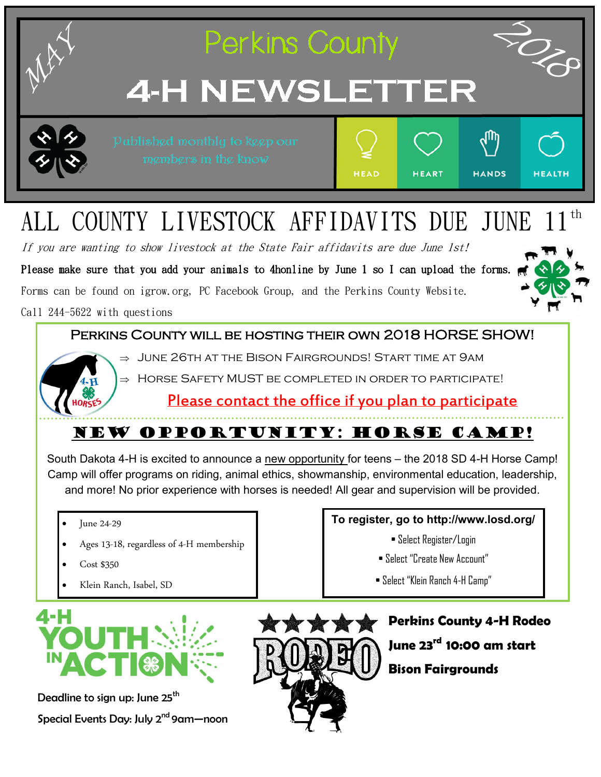

## Please contact the office if you plan to participate

# NEW OPPORTUNITY: Horse camp!

South Dakota 4-H is excited to announce a new opportunity for teens – the 2018 SD 4-H Horse Camp! Camp will offer programs on riding, animal ethics, showmanship, environmental education, leadership, and more! No prior experience with horses is needed! All gear and supervision will be provided.

- June 24-29
- Ages 13-18, regardless of 4-H membership
- Cost \$350
- Klein Ranch, Isabel, SD



Deadline to sign up: June 25<sup>th</sup> Special Events Day: July 2<sup>nd</sup> 9am-noon



• Select Register/Login

• Select "Create New Account"

**To register, go to http://www.losd.org/** 

• Select "Klein Ranch 4-H Camp"